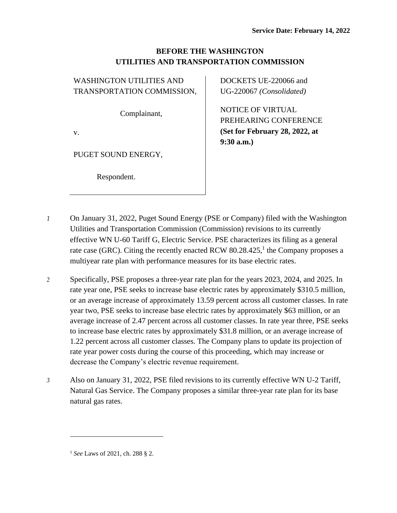## **BEFORE THE WASHINGTON UTILITIES AND TRANSPORTATION COMMISSION**

WASHINGTON UTILITIES AND TRANSPORTATION COMMISSION,

Complainant,

v.

PUGET SOUND ENERGY,

Respondent.

DOCKETS UE-220066 and UG-220067 *(Consolidated)*

NOTICE OF VIRTUAL PREHEARING CONFERENCE **(Set for February 28, 2022, at 9:30 a.m.)**

- *1* On January 31, 2022, Puget Sound Energy (PSE or Company) filed with the Washington Utilities and Transportation Commission (Commission) revisions to its currently effective WN U-60 Tariff G, Electric Service. PSE characterizes its filing as a general rate case (GRC). Citing the recently enacted RCW 80.28.425,<sup>1</sup> the Company proposes a multiyear rate plan with performance measures for its base electric rates.
- *2* Specifically, PSE proposes a three-year rate plan for the years 2023, 2024, and 2025. In rate year one, PSE seeks to increase base electric rates by approximately \$310.5 million, or an average increase of approximately 13.59 percent across all customer classes. In rate year two, PSE seeks to increase base electric rates by approximately \$63 million, or an average increase of 2.47 percent across all customer classes. In rate year three, PSE seeks to increase base electric rates by approximately \$31.8 million, or an average increase of 1.22 percent across all customer classes. The Company plans to update its projection of rate year power costs during the course of this proceeding, which may increase or decrease the Company's electric revenue requirement.
- *3* Also on January 31, 2022, PSE filed revisions to its currently effective WN U-2 Tariff, Natural Gas Service. The Company proposes a similar three-year rate plan for its base natural gas rates.

<sup>1</sup> *See* Laws of 2021, ch. 288 § 2.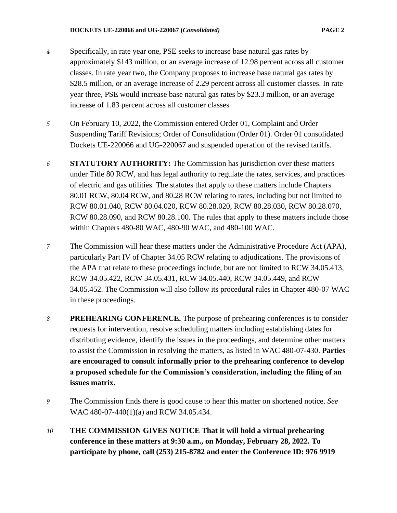- *4* Specifically, in rate year one, PSE seeks to increase base natural gas rates by approximately \$143 million, or an average increase of 12.98 percent across all customer classes. In rate year two, the Company proposes to increase base natural gas rates by \$28.5 million, or an average increase of 2.29 percent across all customer classes. In rate year three, PSE would increase base natural gas rates by \$23.3 million, or an average increase of 1.83 percent across all customer classes
- *5* On February 10, 2022, the Commission entered Order 01, Complaint and Order Suspending Tariff Revisions; Order of Consolidation (Order 01). Order 01 consolidated Dockets UE-220066 and UG-220067 and suspended operation of the revised tariffs.
- *6* **STATUTORY AUTHORITY:** The Commission has jurisdiction over these matters under Title 80 RCW, and has legal authority to regulate the rates, services, and practices of electric and gas utilities. The statutes that apply to these matters include Chapters 80.01 RCW, 80.04 RCW, and 80.28 RCW relating to rates, including but not limited to RCW 80.01.040, RCW 80.04.020, RCW 80.28.020, RCW 80.28.030, RCW 80.28.070, RCW 80.28.090, and RCW 80.28.100. The rules that apply to these matters include those within Chapters 480-80 WAC, 480-90 WAC, and 480-100 WAC.
- *7* The Commission will hear these matters under the Administrative Procedure Act (APA), particularly Part IV of Chapter 34.05 RCW relating to adjudications. The provisions of the APA that relate to these proceedings include, but are not limited to RCW 34.05.413, RCW 34.05.422, RCW 34.05.431, RCW 34.05.440, RCW 34.05.449, and RCW 34.05.452. The Commission will also follow its procedural rules in Chapter 480-07 WAC in these proceedings.
- *8* **PREHEARING CONFERENCE.** The purpose of prehearing conferences is to consider requests for intervention, resolve scheduling matters including establishing dates for distributing evidence, identify the issues in the proceedings, and determine other matters to assist the Commission in resolving the matters, as listed in WAC 480-07-430. **Parties are encouraged to consult informally prior to the prehearing conference to develop a proposed schedule for the Commission's consideration, including the filing of an issues matrix.**
- *9* The Commission finds there is good cause to hear this matter on shortened notice. *See*  WAC 480-07-440(1)(a) and RCW 34.05.434.
- *10* **THE COMMISSION GIVES NOTICE That it will hold a virtual prehearing conference in these matters at 9:30 a.m., on Monday, February 28, 2022. To participate by phone, call (253) 215-8782 and enter the Conference ID: 976 9919**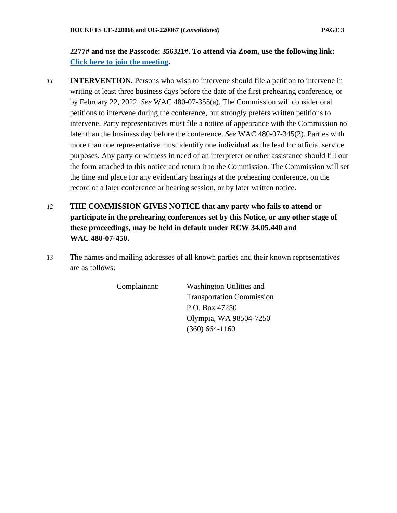## **2277# and use the Passcode: 356321#. To attend via Zoom, use the following link: [Click here to join the meeting.](https://utc-wa-gov.zoom.us/j/97699192277?pwd=Q3htb3lWZ3BsakoyYVUxckFUSkt2Zz09)**

- *11* **INTERVENTION.** Persons who wish to intervene should file a petition to intervene in writing at least three business days before the date of the first prehearing conference, or by February 22, 2022. *See* WAC 480-07-355(a). The Commission will consider oral petitions to intervene during the conference, but strongly prefers written petitions to intervene. Party representatives must file a notice of appearance with the Commission no later than the business day before the conference. *See* WAC 480-07-345(2). Parties with more than one representative must identify one individual as the lead for official service purposes. Any party or witness in need of an interpreter or other assistance should fill out the form attached to this notice and return it to the Commission. The Commission will set the time and place for any evidentiary hearings at the prehearing conference, on the record of a later conference or hearing session, or by later written notice.
- *12* **THE COMMISSION GIVES NOTICE that any party who fails to attend or participate in the prehearing conferences set by this Notice, or any other stage of these proceedings, may be held in default under RCW 34.05.440 and WAC 480-07-450.**
- *13* The names and mailing addresses of all known parties and their known representatives are as follows:

Complainant: Washington Utilities and Transportation Commission P.O. Box 47250 Olympia, WA 98504-7250 (360) 664-1160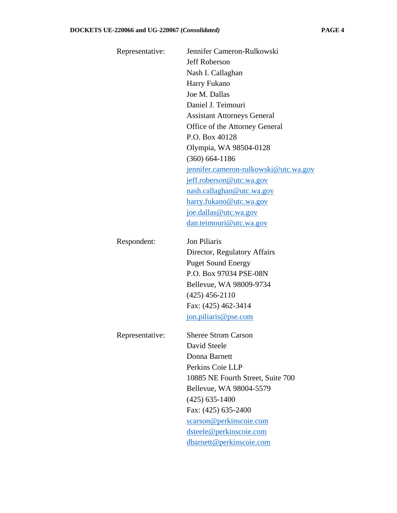| Representative: | Jennifer Cameron-Rulkowski            |
|-----------------|---------------------------------------|
|                 | <b>Jeff Roberson</b>                  |
|                 | Nash I. Callaghan                     |
|                 | Harry Fukano                          |
|                 | Joe M. Dallas                         |
|                 | Daniel J. Teimouri                    |
|                 | <b>Assistant Attorneys General</b>    |
|                 | Office of the Attorney General        |
|                 | P.O. Box 40128                        |
|                 | Olympia, WA 98504-0128                |
|                 | $(360)$ 664-1186                      |
|                 | jennifer.cameron-rulkowski@utc.wa.gov |
|                 | jeff.roberson@utc.wa.gov              |
|                 | nash.callaghan@utc.wa.gov             |
|                 | harry.fukano@utc.wa.gov               |
|                 | joe.dallas@utc.wa.gov                 |
|                 | dan.teimouri@utc.wa.gov               |
| Respondent:     | Jon Piliaris                          |
|                 | Director, Regulatory Affairs          |
|                 | <b>Puget Sound Energy</b>             |
|                 | P.O. Box 97034 PSE-08N                |
|                 | Bellevue, WA 98009-9734               |
|                 | $(425)$ 456-2110                      |
|                 | Fax: (425) 462-3414                   |
|                 | jon.piliaris@pse.com                  |
| Representative: | <b>Sheree Strom Carson</b>            |
|                 | David Steele                          |
|                 | Donna Barnett                         |
|                 | Perkins Coie LLP                      |
|                 | 10885 NE Fourth Street, Suite 700     |
|                 | Bellevue, WA 98004-5579               |
|                 | $(425)$ 635-1400                      |
|                 | Fax: (425) 635-2400                   |
|                 | scarson@perkinscoie.com               |
|                 | dsteele@perkinscoie.com               |
|                 | dbarnett@perkinscoie.com              |
|                 |                                       |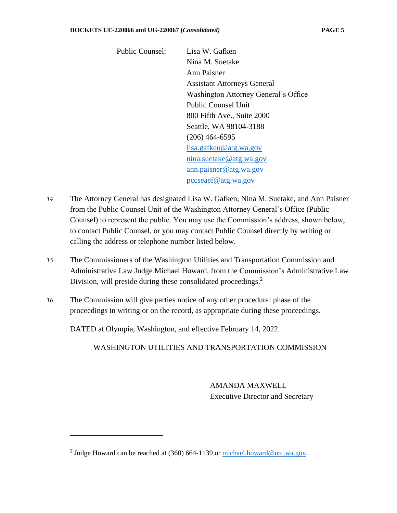Public Counsel: Lisa W. Gafken Nina M. Suetake Ann Paisner Assistant Attorneys General Washington Attorney General's Office Public Counsel Unit 800 Fifth Ave., Suite 2000 Seattle, WA 98104-3188 (206) 464-6595 [lisa.gafken@atg.wa.gov](mailto:lisa.gafken@atg.wa.gov) [nina.suetake@atg.wa.gov](mailto:nina.suetake@atg.wa.gov) [ann.paisner@atg.wa.gov](mailto:ann.paisner@atg.wa.gov) [pccseaef@atg.wa.gov](mailto:pccseaef@atg.wa.gov)

- *14* The Attorney General has designated Lisa W. Gafken, Nina M. Suetake, and Ann Paisner from the Public Counsel Unit of the Washington Attorney General's Office (Public Counsel) to represent the public. You may use the Commission's address, shown below, to contact Public Counsel, or you may contact Public Counsel directly by writing or calling the address or telephone number listed below.
- *15* The Commissioners of the Washington Utilities and Transportation Commission and Administrative Law Judge Michael Howard, from the Commission's Administrative Law Division, will preside during these consolidated proceedings. 2
- *16* The Commission will give parties notice of any other procedural phase of the proceedings in writing or on the record, as appropriate during these proceedings.

DATED at Olympia, Washington, and effective February 14, 2022.

WASHINGTON UTILITIES AND TRANSPORTATION COMMISSION

AMANDA MAXWELL Executive Director and Secretary

<sup>&</sup>lt;sup>2</sup> Judge Howard can be reached at (360) 664-1139 or [michael.howard@utc.wa.gov.](mailto:andrew.j.oconnell@utc.wa.gov)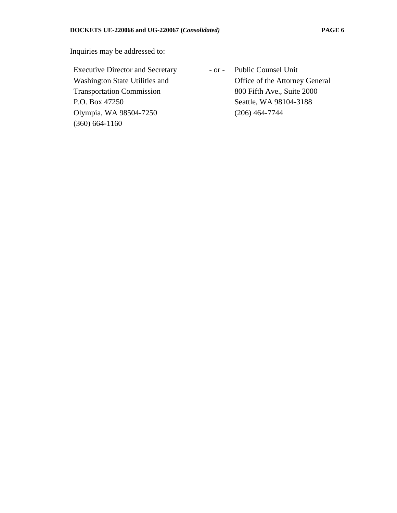Inquiries may be addressed to:

Executive Director and Secretary Washington State Utilities and Transportation Commission P.O. Box 47250 Olympia, WA 98504-7250 (360) 664-1160

- or - Public Counsel Unit Office of the Attorney General 800 Fifth Ave., Suite 2000 Seattle, WA 98104-3188 (206) 464-7744